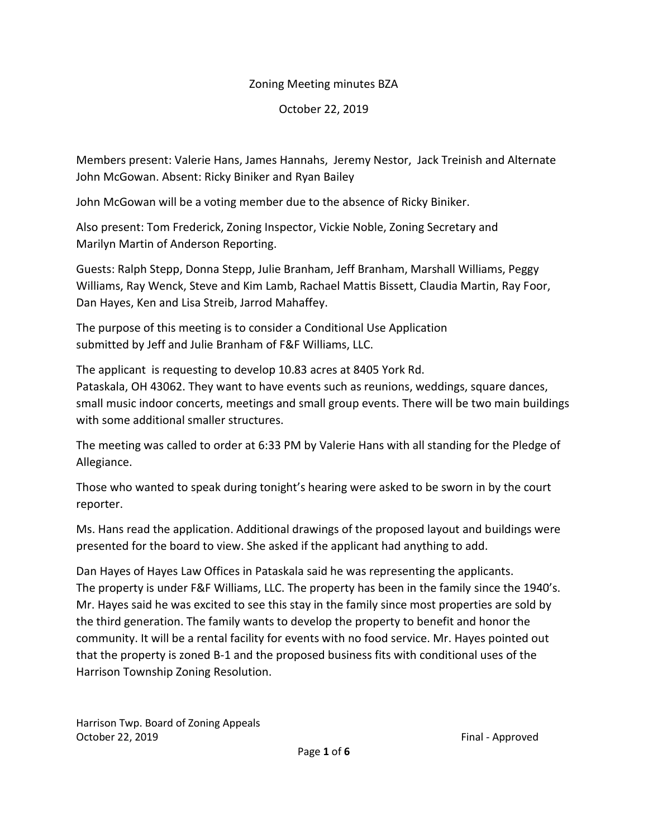# Zoning Meeting minutes BZA

October 22, 2019

Members present: Valerie Hans, James Hannahs, Jeremy Nestor, Jack Treinish and Alternate John McGowan. Absent: Ricky Biniker and Ryan Bailey

John McGowan will be a voting member due to the absence of Ricky Biniker.

Also present: Tom Frederick, Zoning Inspector, Vickie Noble, Zoning Secretary and Marilyn Martin of Anderson Reporting.

Guests: Ralph Stepp, Donna Stepp, Julie Branham, Jeff Branham, Marshall Williams, Peggy Williams, Ray Wenck, Steve and Kim Lamb, Rachael Mattis Bissett, Claudia Martin, Ray Foor, Dan Hayes, Ken and Lisa Streib, Jarrod Mahaffey.

The purpose of this meeting is to consider a Conditional Use Application submitted by Jeff and Julie Branham of F&F Williams, LLC.

The applicant is requesting to develop 10.83 acres at 8405 York Rd. Pataskala, OH 43062. They want to have events such as reunions, weddings, square dances, small music indoor concerts, meetings and small group events. There will be two main buildings with some additional smaller structures.

The meeting was called to order at 6:33 PM by Valerie Hans with all standing for the Pledge of Allegiance.

Those who wanted to speak during tonight's hearing were asked to be sworn in by the court reporter.

Ms. Hans read the application. Additional drawings of the proposed layout and buildings were presented for the board to view. She asked if the applicant had anything to add.

Dan Hayes of Hayes Law Offices in Pataskala said he was representing the applicants. The property is under F&F Williams, LLC. The property has been in the family since the 1940's. Mr. Hayes said he was excited to see this stay in the family since most properties are sold by the third generation. The family wants to develop the property to benefit and honor the community. It will be a rental facility for events with no food service. Mr. Hayes pointed out that the property is zoned B-1 and the proposed business fits with conditional uses of the Harrison Township Zoning Resolution.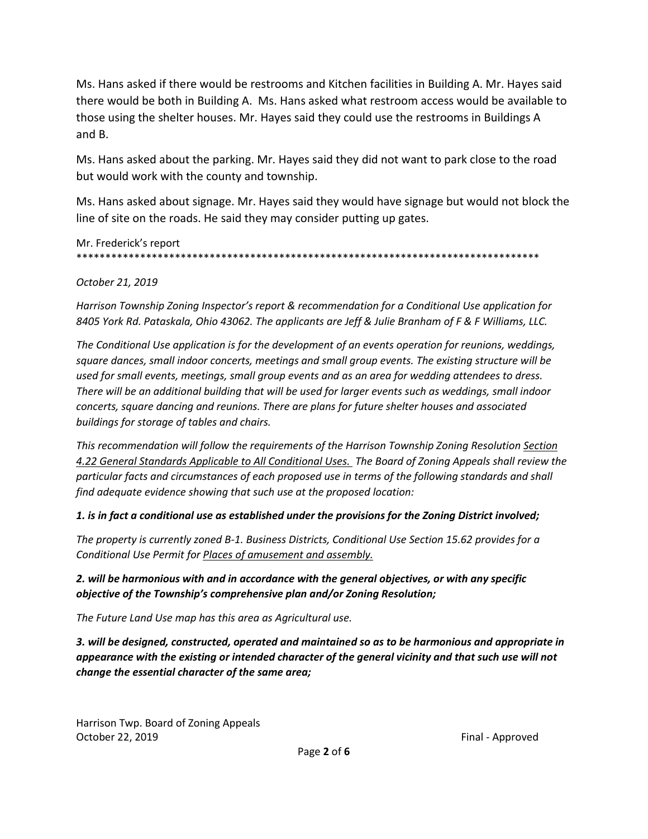Ms. Hans asked if there would be restrooms and Kitchen facilities in Building A. Mr. Hayes said there would be both in Building A. Ms. Hans asked what restroom access would be available to those using the shelter houses. Mr. Hayes said they could use the restrooms in Buildings A and B.

Ms. Hans asked about the parking. Mr. Hayes said they did not want to park close to the road but would work with the county and township.

Ms. Hans asked about signage. Mr. Hayes said they would have signage but would not block the line of site on the roads. He said they may consider putting up gates.

Mr. Frederick's report \*\*\*\*\*\*\*\*\*\*\*\*\*\*\*\*\*\*\*\*\*\*\*\*\*\*\*\*\*\*\*\*\*\*\*\*\*\*\*\*\*\*\*\*\*\*\*\*\*\*\*\*\*\*\*\*\*\*\*\*\*\*\*\*\*\*\*\*\*\*\*\*\*\*\*\*\*\*\*\*

### *October 21, 2019*

*Harrison Township Zoning Inspector's report & recommendation for a Conditional Use application for 8405 York Rd. Pataskala, Ohio 43062. The applicants are Jeff & Julie Branham of F & F Williams, LLC.* 

*The Conditional Use application is for the development of an events operation for reunions, weddings, square dances, small indoor concerts, meetings and small group events. The existing structure will be used for small events, meetings, small group events and as an area for wedding attendees to dress. There will be an additional building that will be used for larger events such as weddings, small indoor concerts, square dancing and reunions. There are plans for future shelter houses and associated buildings for storage of tables and chairs.* 

*This recommendation will follow the requirements of the Harrison Township Zoning Resolution Section 4.22 General Standards Applicable to All Conditional Uses. The Board of Zoning Appeals shall review the particular facts and circumstances of each proposed use in terms of the following standards and shall find adequate evidence showing that such use at the proposed location:*

### *1. is in fact a conditional use as established under the provisions for the Zoning District involved;*

*The property is currently zoned B-1. Business Districts, Conditional Use Section 15.62 provides for a Conditional Use Permit for Places of amusement and assembly.* 

### *2. will be harmonious with and in accordance with the general objectives, or with any specific objective of the Township's comprehensive plan and/or Zoning Resolution;*

*The Future Land Use map has this area as Agricultural use.* 

*3. will be designed, constructed, operated and maintained so as to be harmonious and appropriate in appearance with the existing or intended character of the general vicinity and that such use will not change the essential character of the same area;*

Harrison Twp. Board of Zoning Appeals October 22, 2019 **Final - Approved Final - Approved**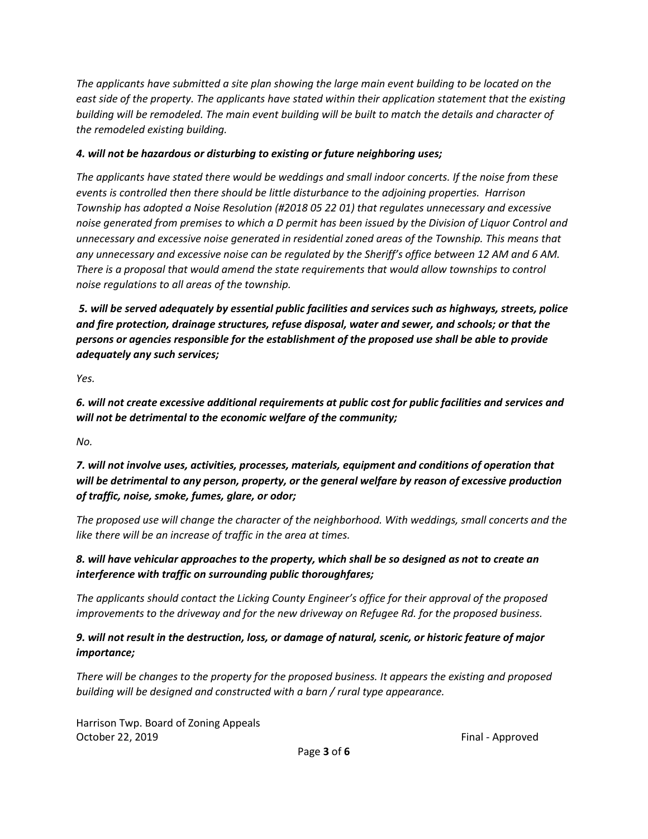*The applicants have submitted a site plan showing the large main event building to be located on the east side of the property. The applicants have stated within their application statement that the existing building will be remodeled. The main event building will be built to match the details and character of the remodeled existing building.* 

### *4. will not be hazardous or disturbing to existing or future neighboring uses;*

*The applicants have stated there would be weddings and small indoor concerts. If the noise from these events is controlled then there should be little disturbance to the adjoining properties. Harrison Township has adopted a Noise Resolution (#2018 05 22 01) that regulates unnecessary and excessive noise generated from premises to which a D permit has been issued by the Division of Liquor Control and unnecessary and excessive noise generated in residential zoned areas of the Township. This means that any unnecessary and excessive noise can be regulated by the Sheriff's office between 12 AM and 6 AM. There is a proposal that would amend the state requirements that would allow townships to control noise regulations to all areas of the township.* 

*5. will be served adequately by essential public facilities and services such as highways, streets, police and fire protection, drainage structures, refuse disposal, water and sewer, and schools; or that the persons or agencies responsible for the establishment of the proposed use shall be able to provide adequately any such services;* 

*Yes.* 

*6. will not create excessive additional requirements at public cost for public facilities and services and will not be detrimental to the economic welfare of the community;*

*No.*

*7. will not involve uses, activities, processes, materials, equipment and conditions of operation that will be detrimental to any person, property, or the general welfare by reason of excessive production of traffic, noise, smoke, fumes, glare, or odor;* 

*The proposed use will change the character of the neighborhood. With weddings, small concerts and the like there will be an increase of traffic in the area at times.* 

# *8. will have vehicular approaches to the property, which shall be so designed as not to create an interference with traffic on surrounding public thoroughfares;*

*The applicants should contact the Licking County Engineer's office for their approval of the proposed improvements to the driveway and for the new driveway on Refugee Rd. for the proposed business.* 

# *9. will not result in the destruction, loss, or damage of natural, scenic, or historic feature of major importance;*

*There will be changes to the property for the proposed business. It appears the existing and proposed building will be designed and constructed with a barn / rural type appearance.*

Harrison Twp. Board of Zoning Appeals October 22, 2019 **Final - Approved**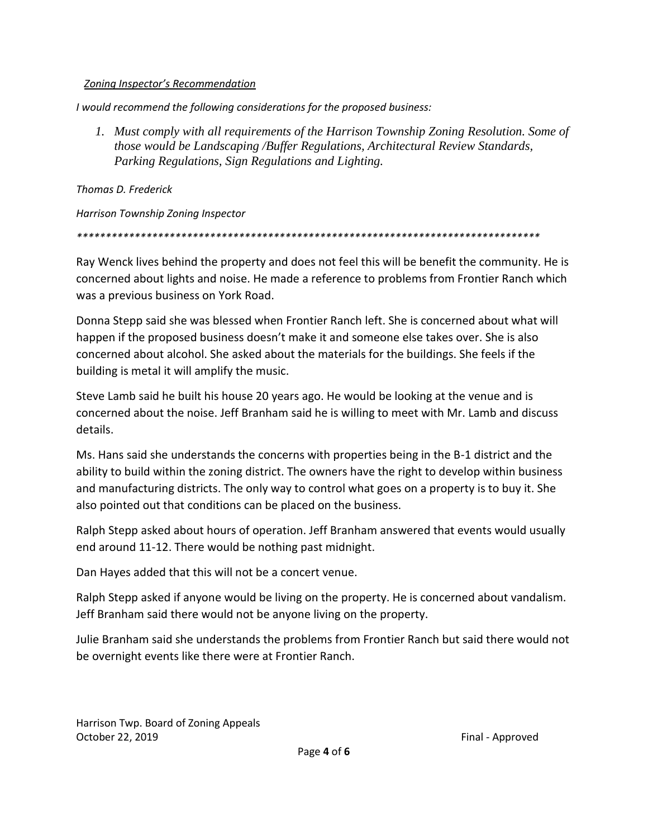### *Zoning Inspector's Recommendation*

*I would recommend the following considerations for the proposed business:* 

*1. Must comply with all requirements of the Harrison Township Zoning Resolution. Some of those would be Landscaping /Buffer Regulations, Architectural Review Standards, Parking Regulations, Sign Regulations and Lighting.* 

*Thomas D. Frederick* 

*Harrison Township Zoning Inspector*

*\*\*\*\*\*\*\*\*\*\*\*\*\*\*\*\*\*\*\*\*\*\*\*\*\*\*\*\*\*\*\*\*\*\*\*\*\*\*\*\*\*\*\*\*\*\*\*\*\*\*\*\*\*\*\*\*\*\*\*\*\*\*\*\*\*\*\*\*\*\*\*\*\*\*\*\*\*\*\*\**

Ray Wenck lives behind the property and does not feel this will be benefit the community. He is concerned about lights and noise. He made a reference to problems from Frontier Ranch which was a previous business on York Road.

Donna Stepp said she was blessed when Frontier Ranch left. She is concerned about what will happen if the proposed business doesn't make it and someone else takes over. She is also concerned about alcohol. She asked about the materials for the buildings. She feels if the building is metal it will amplify the music.

Steve Lamb said he built his house 20 years ago. He would be looking at the venue and is concerned about the noise. Jeff Branham said he is willing to meet with Mr. Lamb and discuss details.

Ms. Hans said she understands the concerns with properties being in the B-1 district and the ability to build within the zoning district. The owners have the right to develop within business and manufacturing districts. The only way to control what goes on a property is to buy it. She also pointed out that conditions can be placed on the business.

Ralph Stepp asked about hours of operation. Jeff Branham answered that events would usually end around 11-12. There would be nothing past midnight.

Dan Hayes added that this will not be a concert venue.

Ralph Stepp asked if anyone would be living on the property. He is concerned about vandalism. Jeff Branham said there would not be anyone living on the property.

Julie Branham said she understands the problems from Frontier Ranch but said there would not be overnight events like there were at Frontier Ranch.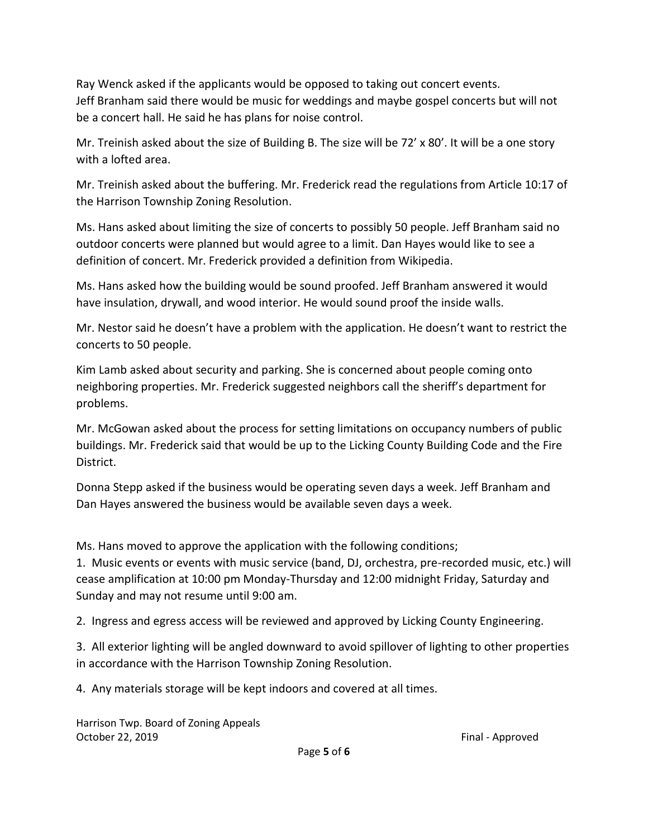Ray Wenck asked if the applicants would be opposed to taking out concert events. Jeff Branham said there would be music for weddings and maybe gospel concerts but will not be a concert hall. He said he has plans for noise control.

Mr. Treinish asked about the size of Building B. The size will be 72' x 80'. It will be a one story with a lofted area.

Mr. Treinish asked about the buffering. Mr. Frederick read the regulations from Article 10:17 of the Harrison Township Zoning Resolution.

Ms. Hans asked about limiting the size of concerts to possibly 50 people. Jeff Branham said no outdoor concerts were planned but would agree to a limit. Dan Hayes would like to see a definition of concert. Mr. Frederick provided a definition from Wikipedia.

Ms. Hans asked how the building would be sound proofed. Jeff Branham answered it would have insulation, drywall, and wood interior. He would sound proof the inside walls.

Mr. Nestor said he doesn't have a problem with the application. He doesn't want to restrict the concerts to 50 people.

Kim Lamb asked about security and parking. She is concerned about people coming onto neighboring properties. Mr. Frederick suggested neighbors call the sheriff's department for problems.

Mr. McGowan asked about the process for setting limitations on occupancy numbers of public buildings. Mr. Frederick said that would be up to the Licking County Building Code and the Fire District.

Donna Stepp asked if the business would be operating seven days a week. Jeff Branham and Dan Hayes answered the business would be available seven days a week.

Ms. Hans moved to approve the application with the following conditions;

1. Music events or events with music service (band, DJ, orchestra, pre-recorded music, etc.) will cease amplification at 10:00 pm Monday-Thursday and 12:00 midnight Friday, Saturday and Sunday and may not resume until 9:00 am.

2. Ingress and egress access will be reviewed and approved by Licking County Engineering.

3. All exterior lighting will be angled downward to avoid spillover of lighting to other properties in accordance with the Harrison Township Zoning Resolution.

4. Any materials storage will be kept indoors and covered at all times.

Harrison Twp. Board of Zoning Appeals October 22, 2019 **Final - Approved Final - Approved**